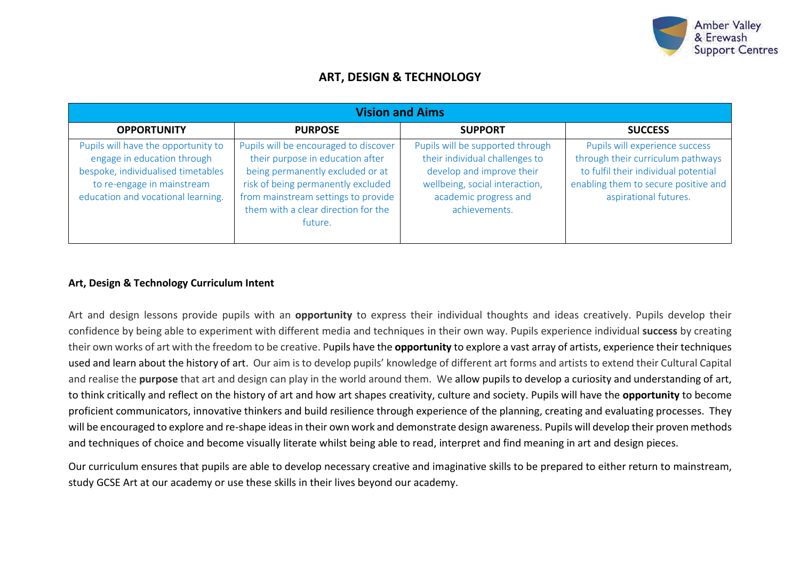

# **ART, DESIGN & TECHNOLOGY**

| <b>Vision and Aims</b>                                                                                                                                                       |                                                                                                                                                                                                                                              |                                                                                                                                                                             |                                                                                                                                                                              |  |  |
|------------------------------------------------------------------------------------------------------------------------------------------------------------------------------|----------------------------------------------------------------------------------------------------------------------------------------------------------------------------------------------------------------------------------------------|-----------------------------------------------------------------------------------------------------------------------------------------------------------------------------|------------------------------------------------------------------------------------------------------------------------------------------------------------------------------|--|--|
| <b>OPPORTUNITY</b>                                                                                                                                                           | <b>PURPOSE</b>                                                                                                                                                                                                                               | <b>SUPPORT</b>                                                                                                                                                              | <b>SUCCESS</b>                                                                                                                                                               |  |  |
| Pupils will have the opportunity to<br>engage in education through<br>bespoke, individualised timetables<br>to re-engage in mainstream<br>education and vocational learning. | Pupils will be encouraged to discover<br>their purpose in education after<br>being permanently excluded or at<br>risk of being permanently excluded<br>from mainstream settings to provide<br>them with a clear direction for the<br>future. | Pupils will be supported through<br>their individual challenges to<br>develop and improve their<br>wellbeing, social interaction,<br>academic progress and<br>achievements. | Pupils will experience success<br>through their curriculum pathways<br>to fulfil their individual potential<br>enabling them to secure positive and<br>aspirational futures. |  |  |

## **Art, Design & Technology Curriculum Intent**

Art and design lessons provide pupils with an **opportunity** to express their individual thoughts and ideas creatively. Pupils develop their confidence by being able to experiment with different media and techniques in their own way. Pupils experience individual **success** by creating their own works of art with the freedom to be creative. Pupils have the **opportunity** to explore a vast array of artists, experience their techniques used and learn about the history of art. Our aim is to develop pupils' knowledge of different art forms and artists to extend their Cultural Capital and realise the **purpose** that art and design can play in the world around them. We allow pupils to develop a curiosity and understanding of art, to think critically and reflect on the history of art and how art shapes creativity, culture and society. Pupils will have the **opportunity** to become proficient communicators, innovative thinkers and build resilience through experience of the planning, creating and evaluating processes. They will be encouraged to explore and re-shape ideas in their own work and demonstrate design awareness. Pupils will develop their proven methods and techniques of choice and become visually literate whilst being able to read, interpret and find meaning in art and design pieces.

Our curriculum ensures that pupils are able to develop necessary creative and imaginative skills to be prepared to either return to mainstream, study GCSE Art at our academy or use these skills in their lives beyond our academy.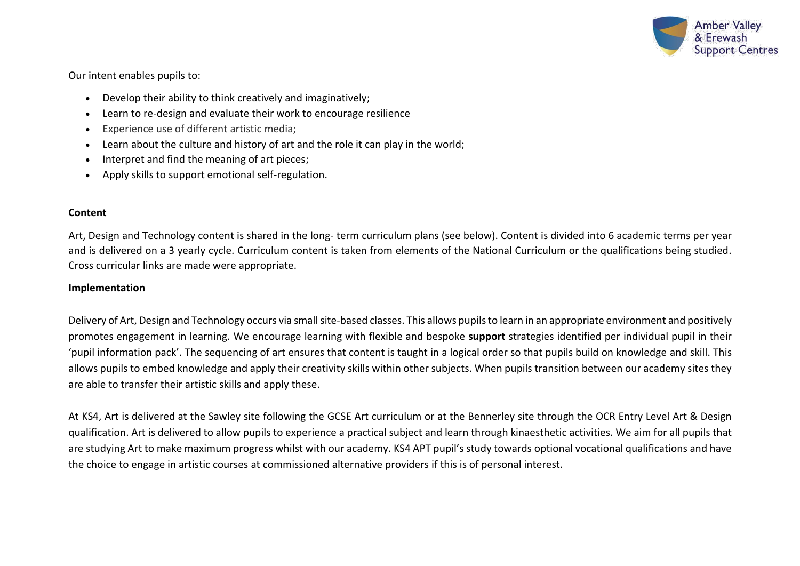

Our intent enables pupils to:

- Develop their ability to think creatively and imaginatively;
- Learn to re-design and evaluate their work to encourage resilience
- Experience use of different artistic media;
- Learn about the culture and history of art and the role it can play in the world;
- Interpret and find the meaning of art pieces;
- Apply skills to support emotional self-regulation.

### **Content**

Art, Design and Technology content is shared in the long- term curriculum plans (see below). Content is divided into 6 academic terms per year and is delivered on a 3 yearly cycle. Curriculum content is taken from elements of the National Curriculum or the qualifications being studied. Cross curricular links are made were appropriate.

### **Implementation**

Delivery of Art, Design and Technology occurs via small site-based classes. This allows pupils to learn in an appropriate environment and positively promotes engagement in learning. We encourage learning with flexible and bespoke **support** strategies identified per individual pupil in their 'pupil information pack'. The sequencing of art ensures that content is taught in a logical order so that pupils build on knowledge and skill. This allows pupils to embed knowledge and apply their creativity skills within other subjects. When pupils transition between our academy sites they are able to transfer their artistic skills and apply these.

At KS4, Art is delivered at the Sawley site following the GCSE Art curriculum or at the Bennerley site through the OCR Entry Level Art & Design qualification. Art is delivered to allow pupils to experience a practical subject and learn through kinaesthetic activities. We aim for all pupils that are studying Art to make maximum progress whilst with our academy. KS4 APT pupil's study towards optional vocational qualifications and have the choice to engage in artistic courses at commissioned alternative providers if this is of personal interest.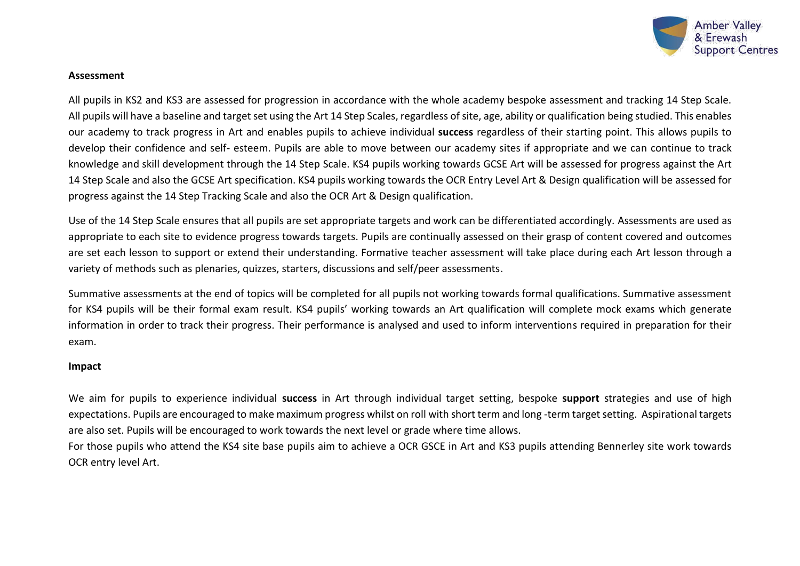

#### **Assessment**

All pupils in KS2 and KS3 are assessed for progression in accordance with the whole academy bespoke assessment and tracking 14 Step Scale. All pupils will have a baseline and target set using the Art 14 Step Scales, regardless of site, age, ability or qualification being studied. This enables our academy to track progress in Art and enables pupils to achieve individual **success** regardless of their starting point. This allows pupils to develop their confidence and self- esteem. Pupils are able to move between our academy sites if appropriate and we can continue to track knowledge and skill development through the 14 Step Scale. KS4 pupils working towards GCSE Art will be assessed for progress against the Art 14 Step Scale and also the GCSE Art specification. KS4 pupils working towards the OCR Entry Level Art & Design qualification will be assessed for progress against the 14 Step Tracking Scale and also the OCR Art & Design qualification.

Use of the 14 Step Scale ensures that all pupils are set appropriate targets and work can be differentiated accordingly. Assessments are used as appropriate to each site to evidence progress towards targets. Pupils are continually assessed on their grasp of content covered and outcomes are set each lesson to support or extend their understanding. Formative teacher assessment will take place during each Art lesson through a variety of methods such as plenaries, quizzes, starters, discussions and self/peer assessments.

Summative assessments at the end of topics will be completed for all pupils not working towards formal qualifications. Summative assessment for KS4 pupils will be their formal exam result. KS4 pupils' working towards an Art qualification will complete mock exams which generate information in order to track their progress. Their performance is analysed and used to inform interventions required in preparation for their exam.

#### **Impact**

We aim for pupils to experience individual **success** in Art through individual target setting, bespoke **support** strategies and use of high expectations. Pupils are encouraged to make maximum progress whilst on roll with short term and long -term target setting. Aspirational targets are also set. Pupils will be encouraged to work towards the next level or grade where time allows.

For those pupils who attend the KS4 site base pupils aim to achieve a OCR GSCE in Art and KS3 pupils attending Bennerley site work towards OCR entry level Art.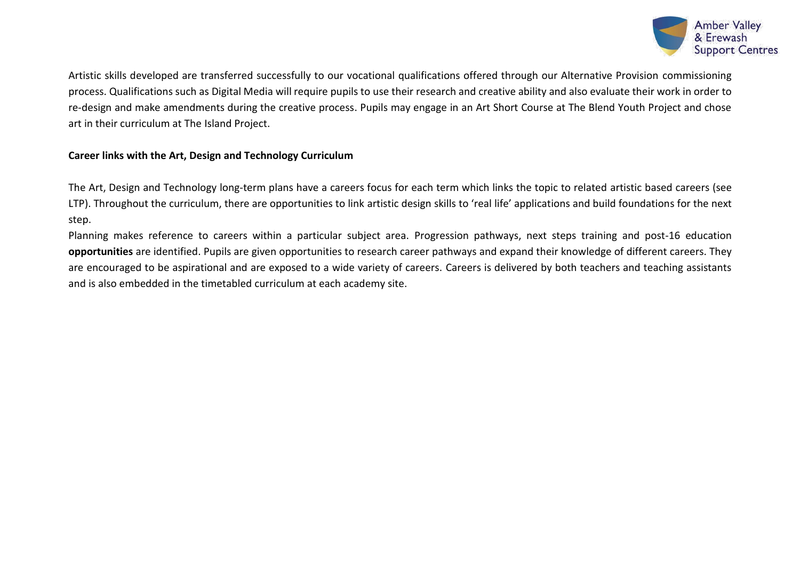

Artistic skills developed are transferred successfully to our vocational qualifications offered through our Alternative Provision commissioning process. Qualifications such as Digital Media will require pupils to use their research and creative ability and also evaluate their work in order to re-design and make amendments during the creative process. Pupils may engage in an Art Short Course at The Blend Youth Project and chose art in their curriculum at The Island Project.

# **Career links with the Art, Design and Technology Curriculum**

The Art, Design and Technology long-term plans have a careers focus for each term which links the topic to related artistic based careers (see LTP). Throughout the curriculum, there are opportunities to link artistic design skills to 'real life' applications and build foundations for the next step.

Planning makes reference to careers within a particular subject area. Progression pathways, next steps training and post-16 education **opportunities** are identified. Pupils are given opportunities to research career pathways and expand their knowledge of different careers. They are encouraged to be aspirational and are exposed to a wide variety of careers. Careers is delivered by both teachers and teaching assistants and is also embedded in the timetabled curriculum at each academy site.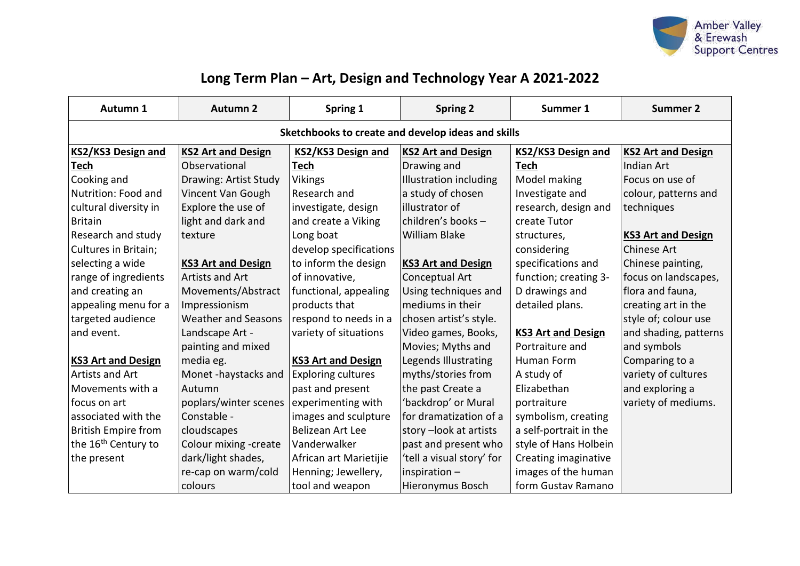

# **Long Term Plan – Art, Design and Technology Year A 2021-2022**

| Autumn 1                                           | <b>Autumn 2</b>            | Spring 1                  | <b>Spring 2</b>               | Summer 1                  | <b>Summer 2</b>           |
|----------------------------------------------------|----------------------------|---------------------------|-------------------------------|---------------------------|---------------------------|
| Sketchbooks to create and develop ideas and skills |                            |                           |                               |                           |                           |
| <b>KS2/KS3 Design and</b>                          | <b>KS2 Art and Design</b>  | KS2/KS3 Design and        | <b>KS2 Art and Design</b>     | KS2/KS3 Design and        | <b>KS2 Art and Design</b> |
| <b>Tech</b>                                        | Observational              | <b>Tech</b>               | Drawing and                   | <b>Tech</b>               | <b>Indian Art</b>         |
| Cooking and                                        | Drawing: Artist Study      | <b>Vikings</b>            | <b>Illustration including</b> | Model making              | Focus on use of           |
| Nutrition: Food and                                | Vincent Van Gough          | Research and              | a study of chosen             | Investigate and           | colour, patterns and      |
| cultural diversity in                              | Explore the use of         | investigate, design       | illustrator of                | research, design and      | techniques                |
| <b>Britain</b>                                     | light and dark and         | and create a Viking       | children's books-             | create Tutor              |                           |
| Research and study                                 | texture                    | Long boat                 | <b>William Blake</b>          | structures,               | <b>KS3 Art and Design</b> |
| Cultures in Britain;                               |                            | develop specifications    |                               | considering               | <b>Chinese Art</b>        |
| selecting a wide                                   | <b>KS3 Art and Design</b>  | to inform the design      | <b>KS3 Art and Design</b>     | specifications and        | Chinese painting,         |
| range of ingredients                               | Artists and Art            | of innovative,            | Conceptual Art                | function; creating 3-     | focus on landscapes,      |
| and creating an                                    | Movements/Abstract         | functional, appealing     | Using techniques and          | D drawings and            | flora and fauna,          |
| appealing menu for a                               | Impressionism              | products that             | mediums in their              | detailed plans.           | creating art in the       |
| targeted audience                                  | <b>Weather and Seasons</b> | respond to needs in a     | chosen artist's style.        |                           | style of; colour use      |
| and event.                                         | Landscape Art -            | variety of situations     | Video games, Books,           | <b>KS3 Art and Design</b> | and shading, patterns     |
|                                                    | painting and mixed         |                           | Movies; Myths and             | Portraiture and           | and symbols               |
| <b>KS3 Art and Design</b>                          | media eg.                  | <b>KS3 Art and Design</b> | Legends Illustrating          | Human Form                | Comparing to a            |
| Artists and Art                                    | Monet -haystacks and       | <b>Exploring cultures</b> | myths/stories from            | A study of                | variety of cultures       |
| Movements with a                                   | Autumn                     | past and present          | the past Create a             | Elizabethan               | and exploring a           |
| focus on art                                       | poplars/winter scenes      | experimenting with        | 'backdrop' or Mural           | portraiture               | variety of mediums.       |
| associated with the                                | Constable -                | images and sculpture      | for dramatization of a        | symbolism, creating       |                           |
| <b>British Empire from</b>                         | cloudscapes                | Belizean Art Lee          | story-look at artists         | a self-portrait in the    |                           |
| the 16 <sup>th</sup> Century to                    | Colour mixing -create      | Vanderwalker              | past and present who          | style of Hans Holbein     |                           |
| the present                                        | dark/light shades,         | African art Marietijie    | 'tell a visual story' for     | Creating imaginative      |                           |
|                                                    | re-cap on warm/cold        | Henning; Jewellery,       | inspiration $-$               | images of the human       |                           |
|                                                    | colours                    | tool and weapon           | Hieronymus Bosch              | form Gustav Ramano        |                           |